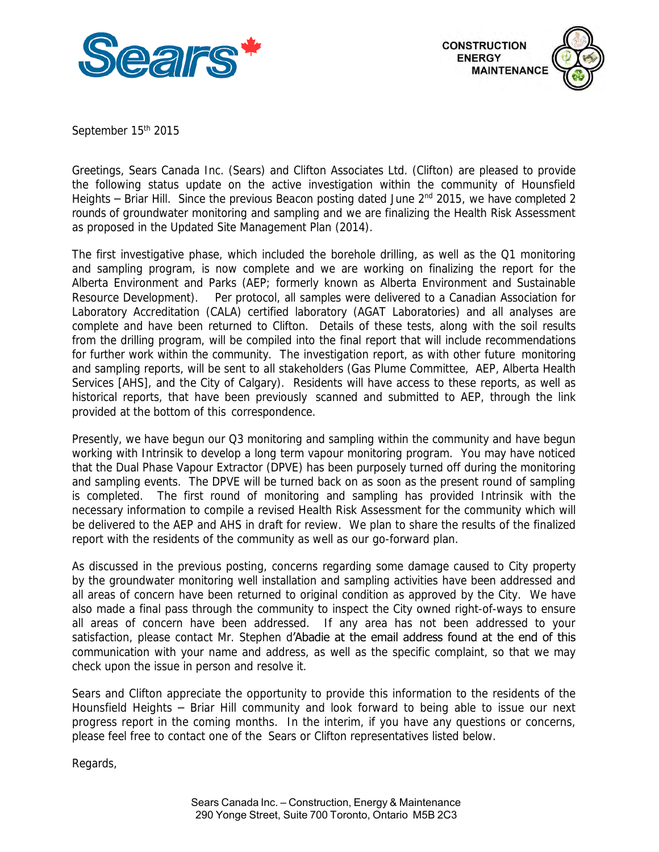



September 15<sup>th</sup> 2015

 Greetings, Sears Canada Inc. (Sears) and Clifton Associates Ltd. (Clifton) are pleased to provide the following status update on the active investigation within the community of Hounsfield Heights – Briar Hill. Since the previous Beacon posting dated June 2<sup>nd</sup> 2015, we have completed 2 rounds of groundwater monitoring and sampling and we are finalizing the Health Risk Assessment as proposed in the Updated Site Management Plan (2014).

 The first investigative phase, which included the borehole drilling, as well as the Q1 monitoring and sampling program, is now complete and we are working on finalizing the report for the Alberta Environment and Parks (AEP; formerly known as Alberta Environment and Sustainable Resource Development). Per protocol, all samples were delivered to a Canadian Association for Laboratory Accreditation (CALA) certified laboratory (AGAT Laboratories) and all analyses are complete and have been returned to Clifton. Details of these tests, along with the soil results from the drilling program, will be compiled into the final report that will include recommendations for further work within the community. The investigation report, as with other future monitoring and sampling reports, will be sent to all stakeholders (Gas Plume Committee, AEP, Alberta Health Services [AHS], and the City of Calgary). Residents will have access to these reports, as well as historical reports, that have been previously scanned and submitted to AEP, through the link provided at the bottom of this correspondence.

 Presently, we have begun our Q3 monitoring and sampling within the community and have begun working with Intrinsik to develop a long term vapour monitoring program. You may have noticed that the Dual Phase Vapour Extractor (DPVE) has been purposely turned off during the monitoring and sampling events. The DPVE will be turned back on as soon as the present round of sampling is completed. The first round of monitoring and sampling has provided Intrinsik with the necessary information to compile a revised Health Risk Assessment for the community which will be delivered to the AEP and AHS in draft for review. We plan to share the results of the finalized report with the residents of the community as well as our go-forward plan.

 As discussed in the previous posting, concerns regarding some damage caused to City property by the groundwater monitoring well installation and sampling activities have been addressed and all areas of concern have been returned to original condition as approved by the City. We have also made a final pass through the community to inspect the City owned right-of-ways to ensure all areas of concern have been addressed. If any area has not been addressed to your satisfaction, please contact Mr. Stephen d'Abadie at the email address found at the end of this communication with your name and address, as well as the specific complaint, so that we may check upon the issue in person and resolve it.

 Sears and Clifton appreciate the opportunity to provide this information to the residents of the Hounsfield Heights – Briar Hill community and look forward to being able to issue our next progress report in the coming months. In the interim, if you have any questions or concerns, please feel free to contact one of the Sears or Clifton representatives listed below.

Regards,